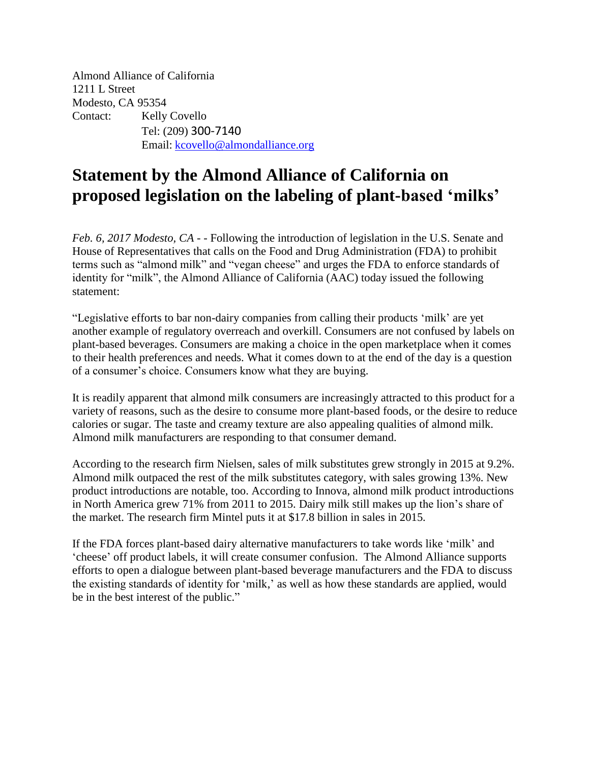Almond Alliance of California 1211 L Street Modesto, CA 95354 Contact: Kelly Covello Tel: (209) 300-7140 Email: [kcovello@almondalliance.org](mailto:kcovello@almondalliance.org)

# **Statement by the Almond Alliance of California on proposed legislation on the labeling of plant-based 'milks'**

*Feb. 6, 2017 Modesto, CA* - - Following the introduction of legislation in the U.S. Senate and House of Representatives that calls on the Food and Drug Administration (FDA) to prohibit terms such as "almond milk" and "vegan cheese" and urges the FDA to enforce standards of identity for "milk", the Almond Alliance of California (AAC) today issued the following statement:

"Legislative efforts to bar non-dairy companies from calling their products 'milk' are yet another example of regulatory overreach and overkill. Consumers are not confused by labels on plant-based beverages. Consumers are making a choice in the open marketplace when it comes to their health preferences and needs. What it comes down to at the end of the day is a question of a consumer's choice. Consumers know what they are buying.

It is readily apparent that almond milk consumers are increasingly attracted to this product for a variety of reasons, such as the desire to consume more plant-based foods, or the desire to reduce calories or sugar. The taste and creamy texture are also appealing qualities of almond milk. Almond milk manufacturers are responding to that consumer demand.

According to the research firm Nielsen, sales of milk substitutes grew strongly in 2015 at 9.2%. Almond milk outpaced the rest of the milk substitutes category, with sales growing 13%. New product introductions are notable, too. According to Innova, almond milk product introductions in North America grew 71% from 2011 to 2015. Dairy milk still makes up the lion's share of the market. The research firm Mintel puts it at \$17.8 billion in sales in 2015.

If the FDA forces plant-based dairy alternative manufacturers to take words like 'milk' and 'cheese' off product labels, it will create consumer confusion. The Almond Alliance supports efforts to open a dialogue between plant-based beverage manufacturers and the FDA to discuss the existing standards of identity for 'milk,' as well as how these standards are applied, would be in the best interest of the public."